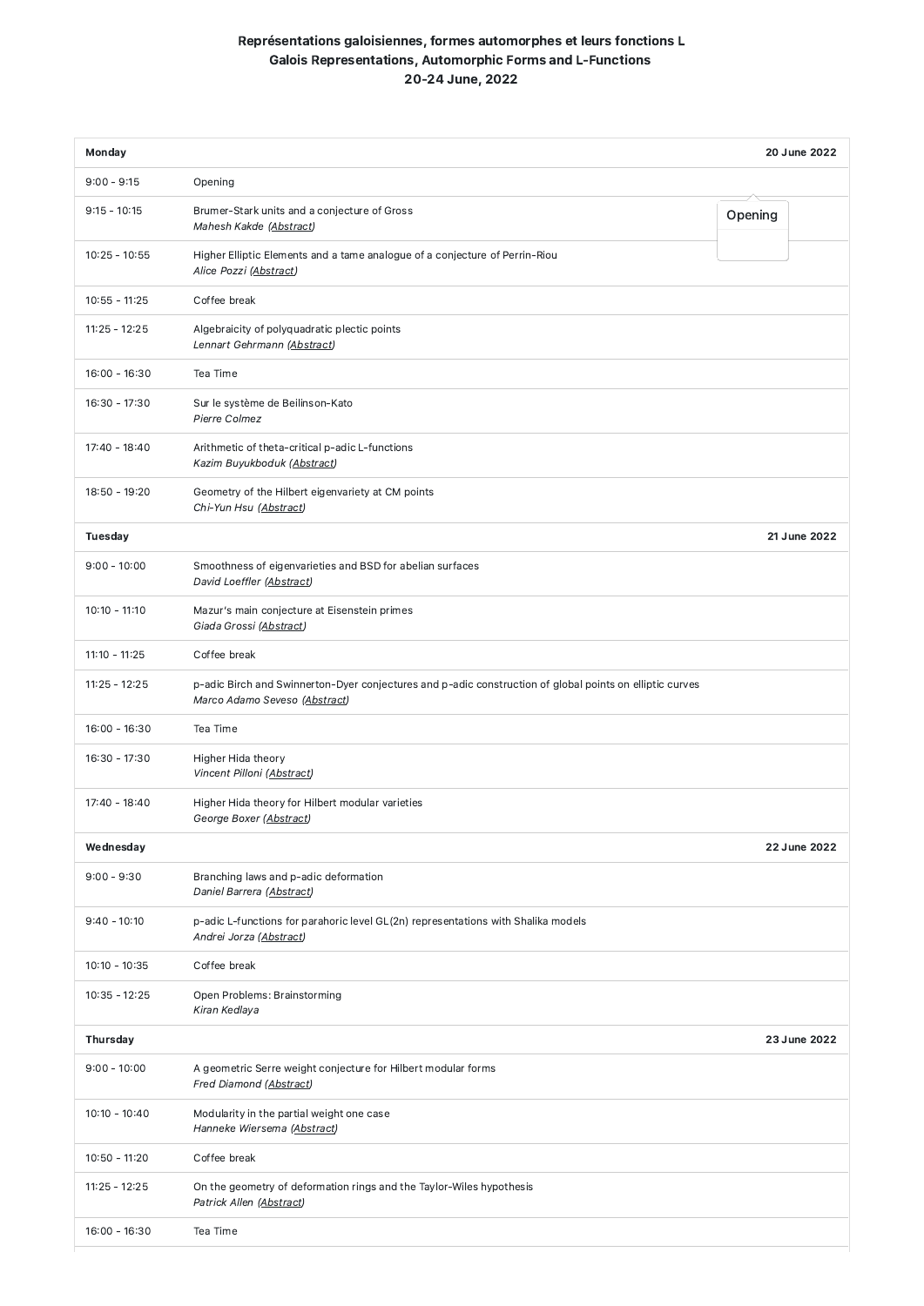## Représentations galoisiennes, formes automorphes et leurs fonctions L Galois Representations, Automorphic Forms and L-Functions 20-24 June, 2022

| Monday          |                                                                                                                                           | <b>20 June 2022</b> |
|-----------------|-------------------------------------------------------------------------------------------------------------------------------------------|---------------------|
| $9:00 - 9:15$   | Opening                                                                                                                                   |                     |
| $9:15 - 10:15$  | Brumer-Stark units and a conjecture of Gross<br>Mahesh Kakde (Abstract)                                                                   | Opening             |
| $10:25 - 10:55$ | Higher Elliptic Elements and a tame analogue of a conjecture of Perrin-Riou<br>Alice Pozzi (Abstract)                                     |                     |
| $10:55 - 11:25$ | Coffee break                                                                                                                              |                     |
| $11:25 - 12:25$ | Algebraicity of polyquadratic plectic points<br>Lennart Gehrmann (Abstract)                                                               |                     |
| $16:00 - 16:30$ | Tea Time                                                                                                                                  |                     |
| 16:30 - 17:30   | Sur le système de Beilinson-Kato<br>Pierre Colmez                                                                                         |                     |
| $17:40 - 18:40$ | Arithmetic of theta-critical p-adic L-functions<br>Kazim Buyukboduk (Abstract)                                                            |                     |
| $18:50 - 19:20$ | Geometry of the Hilbert eigenvariety at CM points<br>Chi-Yun Hsu (Abstract)                                                               |                     |
| <b>Tuesday</b>  |                                                                                                                                           | 21 June 2022        |
| $9:00 - 10:00$  | Smoothness of eigenvarieties and BSD for abelian surfaces<br>David Loeffler (Abstract)                                                    |                     |
| $10:10 - 11:10$ | Mazur's main conjecture at Eisenstein primes<br>Giada Grossi (Abstract)                                                                   |                     |
| $11:10 - 11:25$ | Coffee break                                                                                                                              |                     |
| $11:25 - 12:25$ | p-adic Birch and Swinnerton-Dyer conjectures and p-adic construction of global points on elliptic curves<br>Marco Adamo Seveso (Abstract) |                     |
| $16:00 - 16:30$ | Tea Time                                                                                                                                  |                     |
| 16:30 - 17:30   | Higher Hida theory<br>Vincent Pilloni (Abstract)                                                                                          |                     |
| 17:40 - 18:40   | Higher Hida theory for Hilbert modular varieties<br>George Boxer (Abstract)                                                               |                     |
| Wednesday       |                                                                                                                                           | 22 June 2022        |
| $9:00 - 9:30$   | Branching laws and p-adic deformation<br>Daniel Barrera (Abstract)                                                                        |                     |
| $9:40 - 10:10$  | p-adic L-functions for parahoric level GL(2n) representations with Shalika models<br>Andrei Jorza (Abstract)                              |                     |
| $10:10 - 10:35$ | Coffee break                                                                                                                              |                     |
| $10:35 - 12:25$ | Open Problems: Brainstorming<br>Kiran Kedlaya                                                                                             |                     |
| <b>Thursday</b> |                                                                                                                                           | 23 June 2022        |
| $9:00 - 10:00$  | A geometric Serre weight conjecture for Hilbert modular forms<br>Fred Diamond (Abstract)                                                  |                     |
| $10:10 - 10:40$ | Modularity in the partial weight one case<br>Hanneke Wiersema (Abstract)                                                                  |                     |
| $10:50 - 11:20$ | Coffee break                                                                                                                              |                     |
| $11:25 - 12:25$ | On the geometry of deformation rings and the Taylor-Wiles hypothesis<br>Patrick Allen (Abstract)                                          |                     |
| $16:00 - 16:30$ | Tea Time                                                                                                                                  |                     |